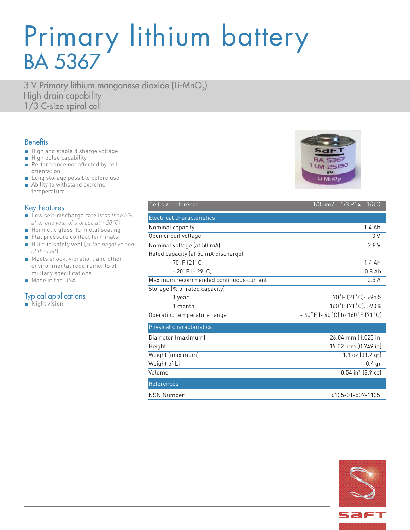## Primary lithium battery BA 5367

3 V Primary lithium manganese dioxide (Li-MnO<sub>2</sub>) High drain capability 1/3 C-size spiral cell

### **Benefits**

- High and stable disharge voltage
- High pulse capability
- Performance not affected by cell orientation
- Long storage possible before use
- Ability to withstand extreme temperature

#### Key Features

- Low self-discharge rate (*less than 3% after one year of storage at + 20˚C*)
- Hermetic glass-to-metal sealing
- Flat pressure contact terminals
- Built-in safety vent (at the negative end *of the cell*)
- Meets shock, vibration, and other environmental requirements of military specifications
- Made in the USA

### Typical applications

■ Night vision

| Cell size reference                    | 1/3 um2  1/3  R14  1/3  C                                            |  |
|----------------------------------------|----------------------------------------------------------------------|--|
| <b>Electrical characteristics</b>      |                                                                      |  |
| Nominal capacity                       | 1.4 Ah                                                               |  |
| Open circuit voltage                   | 3 V                                                                  |  |
| Nominal voltage (at 50 mA)             | 2.8 V                                                                |  |
| Rated capacity (at 50 mA discharge)    |                                                                      |  |
| 70°F (21°C)                            | 1.4 Ah                                                               |  |
| $-20$ °F ( $-29$ °C)                   | $0.8$ Ah                                                             |  |
| Maximum recommended continuous current | 0.5A                                                                 |  |
| Storage (% of rated capacity)          |                                                                      |  |
| 1 year                                 | $70^{\circ}$ F (21 $^{\circ}$ C): >95%                               |  |
| 1 month                                | 160°F (71°C): >90%                                                   |  |
| Operating temperature range            | $-40\degree$ F (-40 $\degree$ C) to 160 $\degree$ F (71 $\degree$ C) |  |
| Physical characteristics               |                                                                      |  |
| Diameter (maximum)                     | 26.04 mm (1.025 in)                                                  |  |
| Height                                 | 19.02 mm (0.749 in)                                                  |  |
| Weight (maximum)                       | 1.1 oz (31.2 gr)                                                     |  |
| Weight of Li                           | $0.4$ gr                                                             |  |
| Volume                                 | $0.54$ in <sup>3</sup> $(8.9$ cc)                                    |  |
| References                             |                                                                      |  |
| <b>NSN Number</b>                      | 6135-01-507-1135                                                     |  |



| sar |  |
|-----|--|
|     |  |